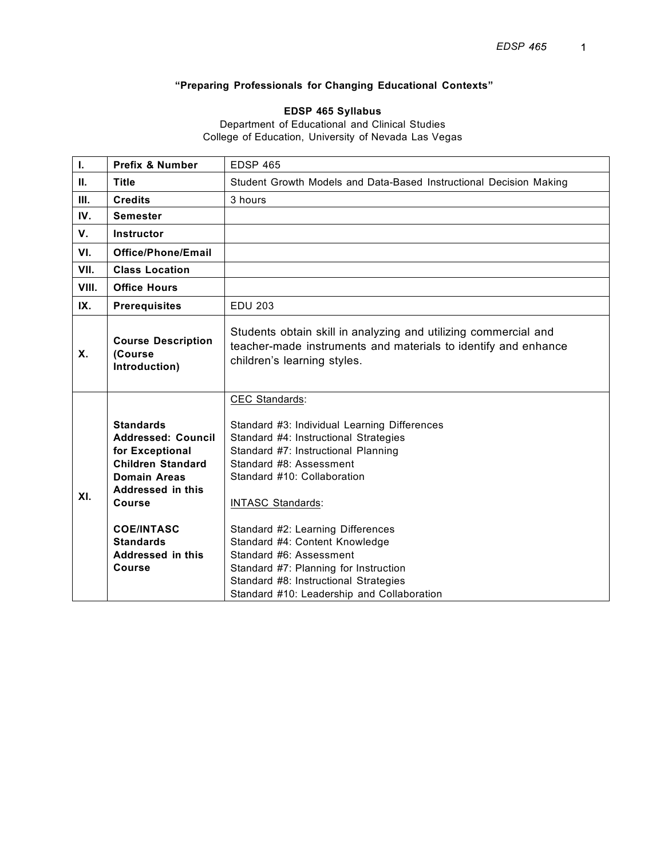# **"Preparing Professionals for Changing Educational Contexts"**

# **EDSP 465 Syllabus**

Department of Educational and Clinical Studies College of Education, University of Nevada Las Vegas

| I.                                                                                                                                                                                                                                       | Prefix & Number       | <b>EDSP 465</b>                                                                                                                                                                                                                                                                                                                                                                                                          |  |  |
|------------------------------------------------------------------------------------------------------------------------------------------------------------------------------------------------------------------------------------------|-----------------------|--------------------------------------------------------------------------------------------------------------------------------------------------------------------------------------------------------------------------------------------------------------------------------------------------------------------------------------------------------------------------------------------------------------------------|--|--|
| Ш.                                                                                                                                                                                                                                       | <b>Title</b>          | Student Growth Models and Data-Based Instructional Decision Making                                                                                                                                                                                                                                                                                                                                                       |  |  |
| III.                                                                                                                                                                                                                                     | <b>Credits</b>        | 3 hours                                                                                                                                                                                                                                                                                                                                                                                                                  |  |  |
| IV.                                                                                                                                                                                                                                      | <b>Semester</b>       |                                                                                                                                                                                                                                                                                                                                                                                                                          |  |  |
| V.                                                                                                                                                                                                                                       | Instructor            |                                                                                                                                                                                                                                                                                                                                                                                                                          |  |  |
| VI.                                                                                                                                                                                                                                      | Office/Phone/Email    |                                                                                                                                                                                                                                                                                                                                                                                                                          |  |  |
| VII.                                                                                                                                                                                                                                     | <b>Class Location</b> |                                                                                                                                                                                                                                                                                                                                                                                                                          |  |  |
| VIII.                                                                                                                                                                                                                                    | <b>Office Hours</b>   |                                                                                                                                                                                                                                                                                                                                                                                                                          |  |  |
| IX.                                                                                                                                                                                                                                      | <b>Prerequisites</b>  | <b>EDU 203</b>                                                                                                                                                                                                                                                                                                                                                                                                           |  |  |
| Students obtain skill in analyzing and utilizing commercial and<br><b>Course Description</b><br>teacher-made instruments and materials to identify and enhance<br>Χ.<br>(Course<br>children's learning styles.<br>Introduction)          |                       |                                                                                                                                                                                                                                                                                                                                                                                                                          |  |  |
| <b>Standards</b><br><b>Addressed: Council</b><br>for Exceptional<br><b>Children Standard</b><br><b>Domain Areas</b><br>Addressed in this<br>XI.<br>Course<br><b>COE/INTASC</b><br><b>Standards</b><br>Addressed in this<br><b>Course</b> |                       | CEC Standards:<br>Standard #3: Individual Learning Differences<br>Standard #4: Instructional Strategies<br>Standard #7: Instructional Planning<br>Standard #8: Assessment<br>Standard #10: Collaboration<br><b>INTASC Standards:</b><br>Standard #2: Learning Differences<br>Standard #4: Content Knowledge<br>Standard #6: Assessment<br>Standard #7: Planning for Instruction<br>Standard #8: Instructional Strategies |  |  |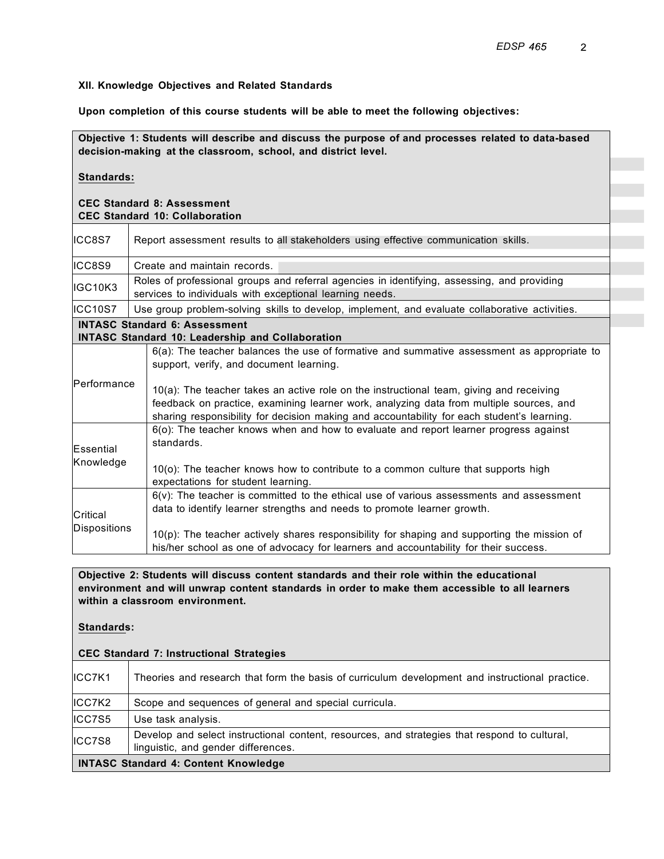#### **XII. Knowledge Objectives and Related Standards**

**Upon completion of this course students will be able to meet the following objectives:**

**Objective 1: Students will describe and discuss the purpose of and processes related to data-based decision-making at the classroom, school, and district level. Standards: CEC Standard 8: Assessment CEC Standard 10: Collaboration** ICC8S7 Report assessment results to all stakeholders using effective communication skills. ICC8S9 | Create and maintain records. IGC10K3 Roles of professional groups and referral agencies in identifying, assessing, and providing services to individuals with exceptional learning needs. ICC10S7 | Use group problem-solving skills to develop, implement, and evaluate collaborative activities. **INTASC Standard 6: Assessment INTASC Standard 10: Leadership and Collaboration** Performance 6(a): The teacher balances the use of formative and summative assessment as appropriate to support, verify, and document learning. 10(a): The teacher takes an active role on the instructional team, giving and receiving feedback on practice, examining learner work, analyzing data from multiple sources, and sharing responsibility for decision making and accountability for each student's learning. **Essential** Knowledge 6(o): The teacher knows when and how to evaluate and report learner progress against standards. 10(o): The teacher knows how to contribute to a common culture that supports high expectations for student learning. **Critical Dispositions**  $6(v)$ : The teacher is committed to the ethical use of various assessments and assessment data to identify learner strengths and needs to promote learner growth.  $10(p)$ : The teacher actively shares responsibility for shaping and supporting the mission of his/her school as one of advocacy for learners and accountability for their success.

**Objective 2: Students will discuss content standards and their role within the educational environment and will unwrap content standards in order to make them accessible to all learners within a classroom environment.**

#### **Standards:**

**CEC Standard 7: Instructional Strategies**

| IICC7K1 | Theories and research that form the basis of curriculum development and instructional practice.                                      |
|---------|--------------------------------------------------------------------------------------------------------------------------------------|
| ICC7K2  | Scope and sequences of general and special curricula.                                                                                |
| ICC7S5  | Use task analysis.                                                                                                                   |
| ICC7S8  | Develop and select instructional content, resources, and strategies that respond to cultural,<br>linguistic, and gender differences. |
|         | <b>INTASC Standard 4: Content Knowledge</b>                                                                                          |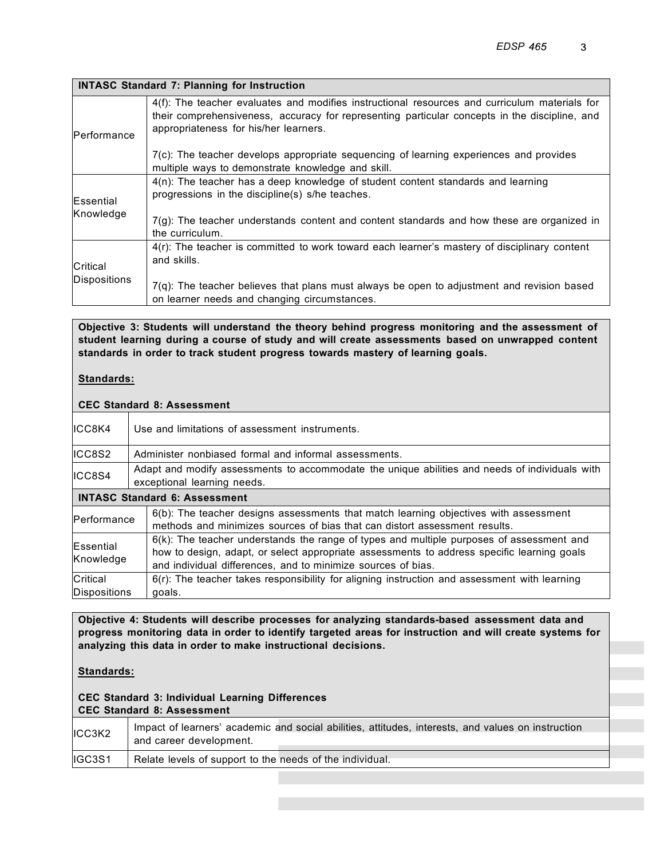|                     | <b>INTASC Standard 7: Planning for Instruction</b>                                                                                                                                                                                      |
|---------------------|-----------------------------------------------------------------------------------------------------------------------------------------------------------------------------------------------------------------------------------------|
| <b>IPerformance</b> | 4(f): The teacher evaluates and modifies instructional resources and curriculum materials for<br>their comprehensiveness, accuracy for representing particular concepts in the discipline, and<br>appropriateness for his/her learners. |
|                     | $7(c)$ : The teacher develops appropriate sequencing of learning experiences and provides<br>multiple ways to demonstrate knowledge and skill.                                                                                          |
| <b>Essential</b>    | 4(n): The teacher has a deep knowledge of student content standards and learning<br>progressions in the discipline(s) s/he teaches.                                                                                                     |
| Knowledge           | $7(g)$ : The teacher understands content and content standards and how these are organized in<br>the curriculum.                                                                                                                        |
| <b>Critical</b>     | 4(r): The teacher is committed to work toward each learner's mastery of disciplinary content<br>and skills.                                                                                                                             |
| Dispositions        | $7(q)$ : The teacher believes that plans must always be open to adjustment and revision based<br>on learner needs and changing circumstances.                                                                                           |

**Objective 3: Students will understand the theory behind progress monitoring and the assessment of student learning during a course of study and will create assessments based on unwrapped content standards in order to track student progress towards mastery of learning goals.**

# **Standards:**

### **CEC Standard 8: Assessment**

| ICC8K4                                                                                                                                                                            | Use and limitations of assessment instruments.                                                                                                                                                                                                            |  |  |
|-----------------------------------------------------------------------------------------------------------------------------------------------------------------------------------|-----------------------------------------------------------------------------------------------------------------------------------------------------------------------------------------------------------------------------------------------------------|--|--|
| ICC8S2                                                                                                                                                                            | Administer nonbiased formal and informal assessments.                                                                                                                                                                                                     |  |  |
| ICC8S4                                                                                                                                                                            | Adapt and modify assessments to accommodate the unique abilities and needs of individuals with<br>exceptional learning needs.                                                                                                                             |  |  |
|                                                                                                                                                                                   | <b>INTASC Standard 6: Assessment</b>                                                                                                                                                                                                                      |  |  |
| 6(b): The teacher designs assessments that match learning objectives with assessment<br>Performance<br>methods and minimizes sources of bias that can distort assessment results. |                                                                                                                                                                                                                                                           |  |  |
| Essential<br>Knowledge                                                                                                                                                            | $6(k)$ : The teacher understands the range of types and multiple purposes of assessment and<br>how to design, adapt, or select appropriate assessments to address specific learning goals<br>and individual differences, and to minimize sources of bias. |  |  |
| Critical                                                                                                                                                                          | $6(r)$ : The teacher takes responsibility for aligning instruction and assessment with learning                                                                                                                                                           |  |  |
| Dispositions                                                                                                                                                                      | goals.                                                                                                                                                                                                                                                    |  |  |

**Objective 4: Students will describe processes for analyzing standards-based assessment data and progress monitoring data in order to identify targeted areas for instruction and will create systems for analyzing this data in order to make instructional decisions.**

#### **Standards:**

#### **CEC Standard 3: Individual Learning Differences CEC Standard 8: Assessment**

| ICC3K2  | Impact of learners' academic and social abilities, attitudes, interests, and values on instruction |  |
|---------|----------------------------------------------------------------------------------------------------|--|
|         | and career development.                                                                            |  |
| lIGC3S1 | Relate levels of support to the needs of the individual.                                           |  |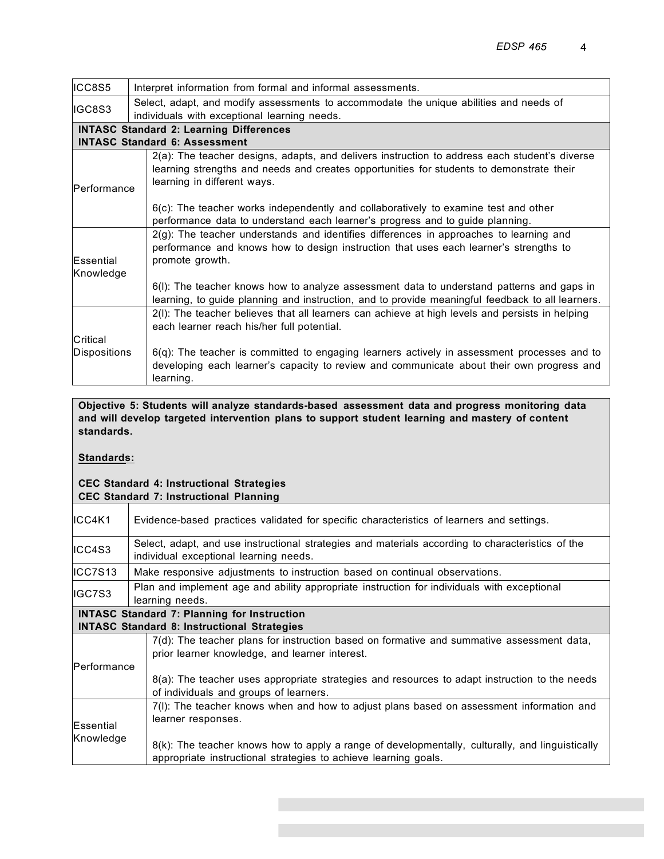| ICC8S5       | Interpret information from formal and informal assessments.                                                                                                                                                              |  |  |
|--------------|--------------------------------------------------------------------------------------------------------------------------------------------------------------------------------------------------------------------------|--|--|
| IGC8S3       | Select, adapt, and modify assessments to accommodate the unique abilities and needs of<br>individuals with exceptional learning needs.                                                                                   |  |  |
|              | <b>INTASC Standard 2: Learning Differences</b>                                                                                                                                                                           |  |  |
|              | <b>INTASC Standard 6: Assessment</b>                                                                                                                                                                                     |  |  |
| Performance  | 2(a): The teacher designs, adapts, and delivers instruction to address each student's diverse<br>learning strengths and needs and creates opportunities for students to demonstrate their<br>learning in different ways. |  |  |
|              | $6(c)$ : The teacher works independently and collaboratively to examine test and other<br>performance data to understand each learner's progress and to guide planning.                                                  |  |  |
| Essential    | $2(g)$ : The teacher understands and identifies differences in approaches to learning and<br>performance and knows how to design instruction that uses each learner's strengths to<br>promote growth.                    |  |  |
| Knowledge    |                                                                                                                                                                                                                          |  |  |
|              | 6(I): The teacher knows how to analyze assessment data to understand patterns and gaps in<br>learning, to guide planning and instruction, and to provide meaningful feedback to all learners.                            |  |  |
|              | 2(I): The teacher believes that all learners can achieve at high levels and persists in helping<br>each learner reach his/her full potential.                                                                            |  |  |
| Critical     |                                                                                                                                                                                                                          |  |  |
| Dispositions | 6(q): The teacher is committed to engaging learners actively in assessment processes and to<br>developing each learner's capacity to review and communicate about their own progress and<br>learning.                    |  |  |

**Objective 5: Students will analyze standards-based assessment data and progress monitoring data and will develop targeted intervention plans to support student learning and mastery of content standards.**

### **Standards:**

#### **CEC Standard 4: Instructional Strategies CEC Standard 7: Instructional Planning**

| IICC4K1                                                                                                                                     | Evidence-based practices validated for specific characteristics of learners and settings.                                                                          |  |  |  |  |
|---------------------------------------------------------------------------------------------------------------------------------------------|--------------------------------------------------------------------------------------------------------------------------------------------------------------------|--|--|--|--|
| ICC4S3                                                                                                                                      | Select, adapt, and use instructional strategies and materials according to characteristics of the<br>individual exceptional learning needs.                        |  |  |  |  |
| IICC7S13                                                                                                                                    | Make responsive adjustments to instruction based on continual observations.                                                                                        |  |  |  |  |
| IGC7S3                                                                                                                                      | Plan and implement age and ability appropriate instruction for individuals with exceptional<br>learning needs.                                                     |  |  |  |  |
|                                                                                                                                             | <b>INTASC Standard 7: Planning for Instruction</b>                                                                                                                 |  |  |  |  |
|                                                                                                                                             | <b>INTASC Standard 8: Instructional Strategies</b>                                                                                                                 |  |  |  |  |
| 7(d): The teacher plans for instruction based on formative and summative assessment data,<br>prior learner knowledge, and learner interest. |                                                                                                                                                                    |  |  |  |  |
| Performance                                                                                                                                 | 8(a): The teacher uses appropriate strategies and resources to adapt instruction to the needs<br>of individuals and groups of learners.                            |  |  |  |  |
| Essential<br>Knowledge                                                                                                                      | 7(I): The teacher knows when and how to adjust plans based on assessment information and<br>learner responses.                                                     |  |  |  |  |
|                                                                                                                                             | 8(k): The teacher knows how to apply a range of developmentally, culturally, and linguistically<br>appropriate instructional strategies to achieve learning goals. |  |  |  |  |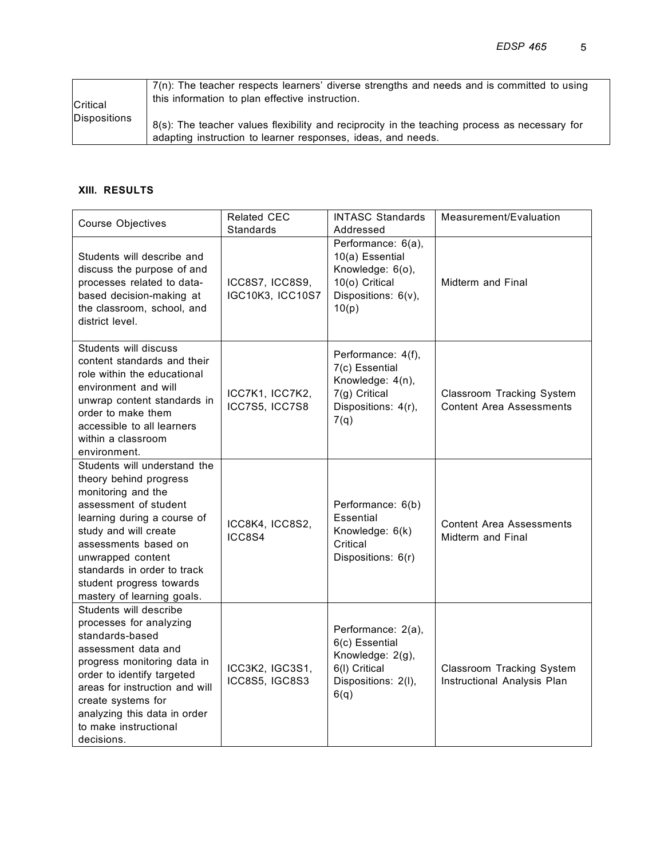| <b>Critical</b> | $7(n)$ : The teacher respects learners' diverse strengths and needs and is committed to using<br>this information to plan effective instruction.              |
|-----------------|---------------------------------------------------------------------------------------------------------------------------------------------------------------|
| Dispositions    | 8(s): The teacher values flexibility and reciprocity in the teaching process as necessary for<br>adapting instruction to learner responses, ideas, and needs. |

### **XIII. RESULTS**

| <b>Course Objectives</b>                                                                                                                                                                                                                                                                            | <b>Related CEC</b><br><b>Standards</b> | <b>INTASC Standards</b><br>Addressed                                                                        | Measurement/Evaluation                                       |
|-----------------------------------------------------------------------------------------------------------------------------------------------------------------------------------------------------------------------------------------------------------------------------------------------------|----------------------------------------|-------------------------------------------------------------------------------------------------------------|--------------------------------------------------------------|
| Students will describe and<br>discuss the purpose of and<br>processes related to data-<br>based decision-making at<br>the classroom, school, and<br>district level.                                                                                                                                 | ICC8S7, ICC8S9,<br>IGC10K3, ICC10S7    | Performance: 6(a),<br>10(a) Essential<br>Knowledge: 6(o),<br>10(o) Critical<br>Dispositions: 6(v),<br>10(p) | Midterm and Final                                            |
| Students will discuss<br>content standards and their<br>role within the educational<br>environment and will<br>unwrap content standards in<br>order to make them<br>accessible to all learners<br>within a classroom<br>environment.                                                                | ICC7K1, ICC7K2,<br>ICC7S5, ICC7S8      | Performance: 4(f),<br>7(c) Essential<br>Knowledge: 4(n),<br>7(g) Critical<br>Dispositions: 4(r),<br>7(q)    | Classroom Tracking System<br><b>Content Area Assessments</b> |
| Students will understand the<br>theory behind progress<br>monitoring and the<br>assessment of student<br>learning during a course of<br>study and will create<br>assessments based on<br>unwrapped content<br>standards in order to track<br>student progress towards<br>mastery of learning goals. | ICC8K4, ICC8S2,<br>ICC8S4              | Performance: 6(b)<br>Essential<br>Knowledge: 6(k)<br>Critical<br>Dispositions: 6(r)                         | <b>Content Area Assessments</b><br>Midterm and Final         |
| Students will describe<br>processes for analyzing<br>standards-based<br>assessment data and<br>progress monitoring data in<br>order to identify targeted<br>areas for instruction and will<br>create systems for<br>analyzing this data in order<br>to make instructional<br>decisions.             | ICC3K2, IGC3S1,<br>ICC8S5, IGC8S3      | Performance: 2(a),<br>6(c) Essential<br>Knowledge: 2(g),<br>6(I) Critical<br>Dispositions: 2(I),<br>6(q)    | Classroom Tracking System<br>Instructional Analysis Plan     |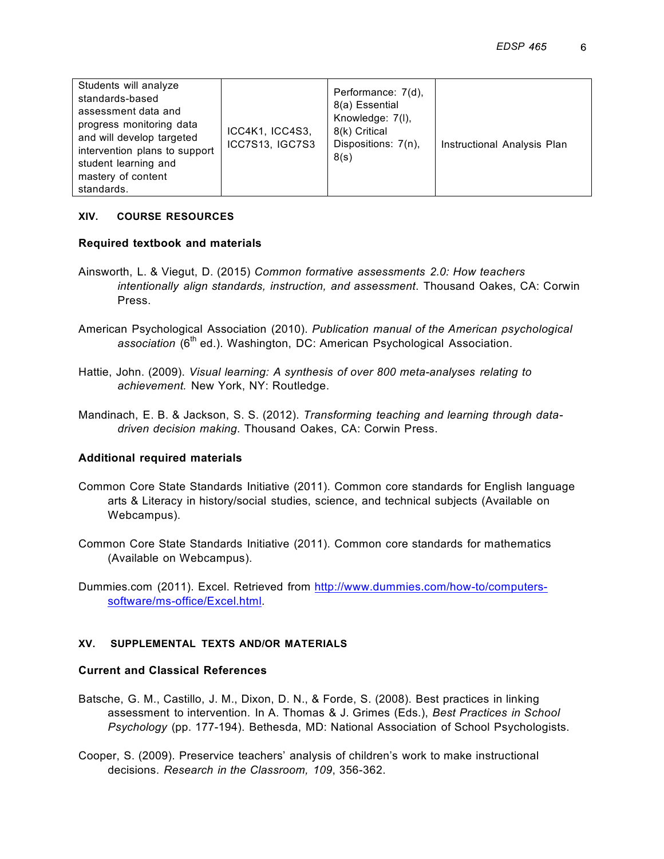| Students will analyze<br>standards-based<br>assessment data and<br>progress monitoring data<br>and will develop targeted<br>intervention plans to support<br>student learning and<br>mastery of content<br>standards. | ICC4K1, ICC4S3,<br>ICC7S13, IGC7S3 | Performance: 7(d),<br>8(a) Essential<br>Knowledge: 7(I),<br>8(k) Critical<br>Dispositions: 7(n),<br>8(s) | Instructional Analysis Plan |
|-----------------------------------------------------------------------------------------------------------------------------------------------------------------------------------------------------------------------|------------------------------------|----------------------------------------------------------------------------------------------------------|-----------------------------|
|-----------------------------------------------------------------------------------------------------------------------------------------------------------------------------------------------------------------------|------------------------------------|----------------------------------------------------------------------------------------------------------|-----------------------------|

### **XIV. COURSE RESOURCES**

### **Required textbook and materials**

- Ainsworth, L. & Viegut, D. (2015) *Common formative assessments 2.0: How teachers intentionally align standards, instruction, and assessment*. Thousand Oakes, CA: Corwin Press.
- American Psychological Association (2010). *Publication manual of the American psychological*  association (6<sup>th</sup> ed.). Washington, DC: American Psychological Association.
- Hattie, John. (2009). *Visual learning: A synthesis of over 800 meta-analyses relating to achievement.* New York, NY: Routledge.
- Mandinach, E. B. & Jackson, S. S. (2012). *Transforming teaching and learning through datadriven decision making*. Thousand Oakes, CA: Corwin Press.

## **Additional required materials**

- Common Core State Standards Initiative (2011). Common core standards for English language arts & Literacy in history/social studies, science, and technical subjects (Available on Webcampus).
- Common Core State Standards Initiative (2011). Common core standards for mathematics (Available on Webcampus).
- Dummies.com (2011). Excel. Retrieved from http://www.dummies.com/how-to/computerssoftware/ms-office/Excel.html.

#### **XV. SUPPLEMENTAL TEXTS AND/OR MATERIALS**

### **Current and Classical References**

- Batsche, G. M., Castillo, J. M., Dixon, D. N., & Forde, S. (2008). Best practices in linking assessment to intervention. In A. Thomas & J. Grimes (Eds.), *Best Practices in School Psychology* (pp. 177-194). Bethesda, MD: National Association of School Psychologists.
- Cooper, S. (2009). Preservice teachers' analysis of children's work to make instructional decisions. *Research in the Classroom, 109*, 356-362.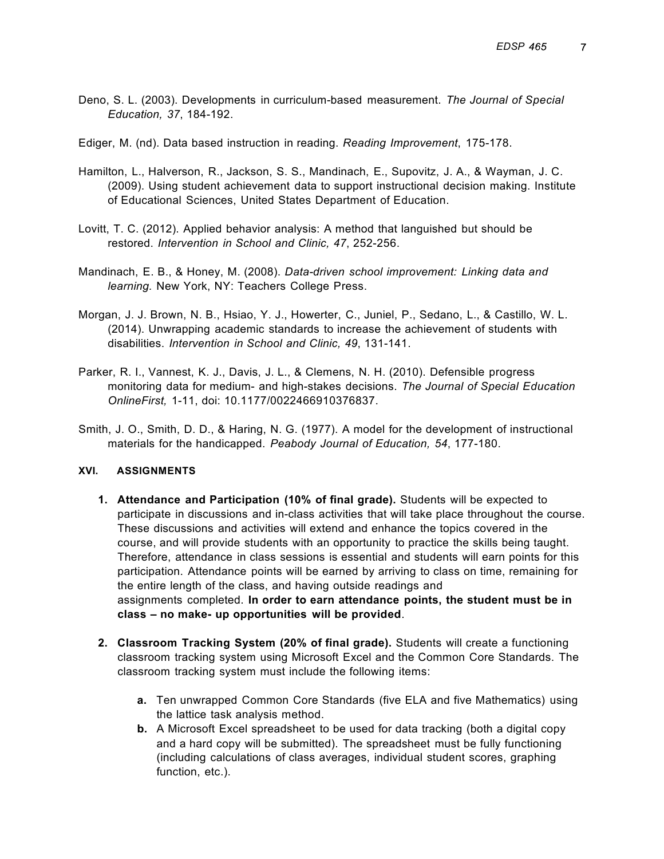- Deno, S. L. (2003). Developments in curriculum-based measurement. *The Journal of Special Education, 37*, 184-192.
- Ediger, M. (nd). Data based instruction in reading. *Reading Improvement*, 175-178.
- Hamilton, L., Halverson, R., Jackson, S. S., Mandinach, E., Supovitz, J. A., & Wayman, J. C. (2009). Using student achievement data to support instructional decision making. Institute of Educational Sciences, United States Department of Education.
- Lovitt, T. C. (2012). Applied behavior analysis: A method that languished but should be restored. *Intervention in School and Clinic, 47*, 252-256.
- Mandinach, E. B., & Honey, M. (2008). *Data-driven school improvement: Linking data and learning.* New York, NY: Teachers College Press.
- Morgan, J. J. Brown, N. B., Hsiao, Y. J., Howerter, C., Juniel, P., Sedano, L., & Castillo, W. L. (2014). Unwrapping academic standards to increase the achievement of students with disabilities. *Intervention in School and Clinic, 49*, 131-141.
- Parker, R. I., Vannest, K. J., Davis, J. L., & Clemens, N. H. (2010). Defensible progress monitoring data for medium- and high-stakes decisions. *The Journal of Special Education OnlineFirst,* 1-11, doi: 10.1177/0022466910376837.
- Smith, J. O., Smith, D. D., & Haring, N. G. (1977). A model for the development of instructional materials for the handicapped. *Peabody Journal of Education, 54*, 177-180.

#### **XVI. ASSIGNMENTS**

- **1. Attendance and Participation (10% of final grade).** Students will be expected to participate in discussions and in-class activities that will take place throughout the course. These discussions and activities will extend and enhance the topics covered in the course, and will provide students with an opportunity to practice the skills being taught. Therefore, attendance in class sessions is essential and students will earn points for this participation. Attendance points will be earned by arriving to class on time, remaining for the entire length of the class, and having outside readings and assignments completed. **In order to earn attendance points, the student must be in class – no make- up opportunities will be provided**.
- **2. Classroom Tracking System (20% of final grade).** Students will create a functioning classroom tracking system using Microsoft Excel and the Common Core Standards. The classroom tracking system must include the following items:
	- **a.** Ten unwrapped Common Core Standards (five ELA and five Mathematics) using the lattice task analysis method.
	- **b.** A Microsoft Excel spreadsheet to be used for data tracking (both a digital copy and a hard copy will be submitted). The spreadsheet must be fully functioning (including calculations of class averages, individual student scores, graphing function, etc.).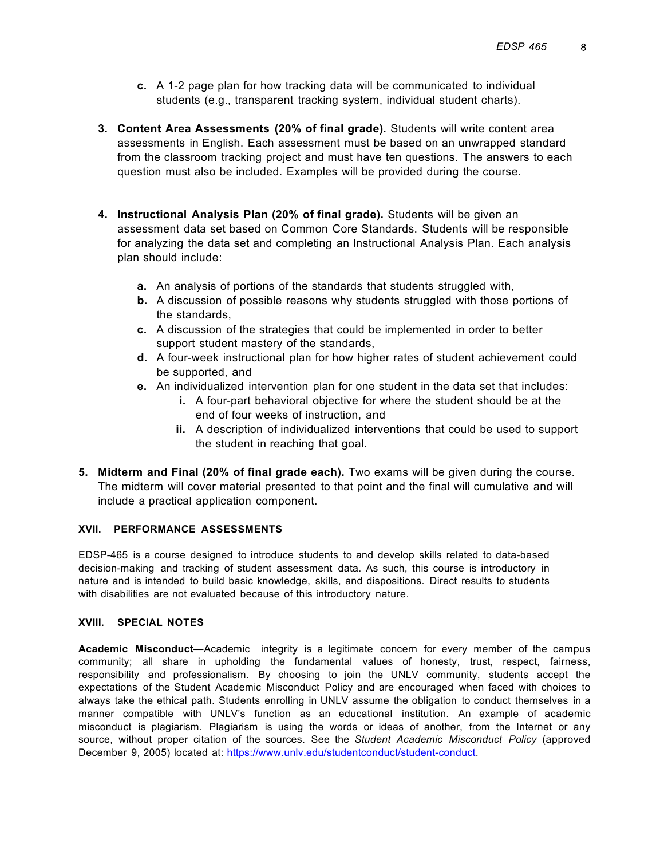- **c.** A 1-2 page plan for how tracking data will be communicated to individual students (e.g., transparent tracking system, individual student charts).
- **3. Content Area Assessments (20% of final grade).** Students will write content area assessments in English. Each assessment must be based on an unwrapped standard from the classroom tracking project and must have ten questions. The answers to each question must also be included. Examples will be provided during the course.
- **4. Instructional Analysis Plan (20% of final grade).** Students will be given an assessment data set based on Common Core Standards. Students will be responsible for analyzing the data set and completing an Instructional Analysis Plan. Each analysis plan should include:
	- **a.** An analysis of portions of the standards that students struggled with,
	- **b.** A discussion of possible reasons why students struggled with those portions of the standards,
	- **c.** A discussion of the strategies that could be implemented in order to better support student mastery of the standards,
	- **d.** A four-week instructional plan for how higher rates of student achievement could be supported, and
	- **e.** An individualized intervention plan for one student in the data set that includes:
		- **i.** A four-part behavioral objective for where the student should be at the end of four weeks of instruction, and
		- **ii.** A description of individualized interventions that could be used to support the student in reaching that goal.
- **5. Midterm and Final (20% of final grade each).** Two exams will be given during the course. The midterm will cover material presented to that point and the final will cumulative and will include a practical application component.

#### **XVII. PERFORMANCE ASSESSMENTS**

EDSP-465 is a course designed to introduce students to and develop skills related to data-based decision-making and tracking of student assessment data. As such, this course is introductory in nature and is intended to build basic knowledge, skills, and dispositions. Direct results to students with disabilities are not evaluated because of this introductory nature.

#### **XVIII. SPECIAL NOTES**

**Academic Misconduct**—Academic integrity is a legitimate concern for every member of the campus community; all share in upholding the fundamental values of honesty, trust, respect, fairness, responsibility and professionalism. By choosing to join the UNLV community, students accept the expectations of the Student Academic Misconduct Policy and are encouraged when faced with choices to always take the ethical path. Students enrolling in UNLV assume the obligation to conduct themselves in a manner compatible with UNLV's function as an educational institution. An example of academic misconduct is plagiarism. Plagiarism is using the words or ideas of another, from the Internet or any source, without proper citation of the sources. See the *Student Academic Misconduct Policy* (approved December 9, 2005) located at: https://www.unlv.edu/studentconduct/student-conduct.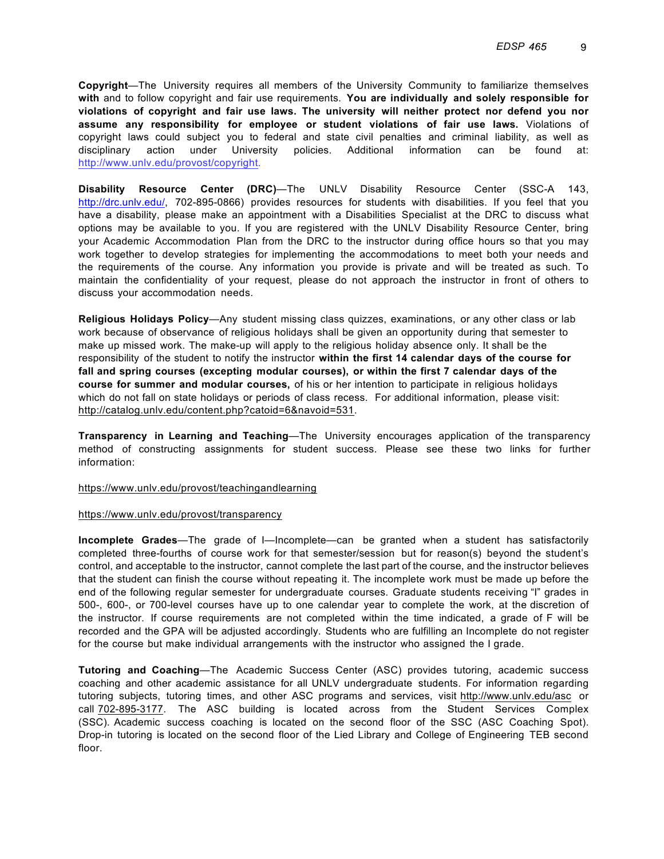**Copyright**—The University requires all members of the University Community to familiarize themselves **with** and to follow copyright and fair use requirements. **You are individually and solely responsible for violations of copyright and fair use laws. The university will neither protect nor defend you nor assume any responsibility for employee or student violations of fair use laws.** Violations of copyright laws could subject you to federal and state civil penalties and criminal liability, as well as disciplinary action under University policies. Additional information can be found at: http://www.unlv.edu/provost/copyright.

**Disability Resource Center (DRC)**—The UNLV Disability Resource Center (SSC-A 143, http://drc.unlv.edu/, 702-895-0866) provides resources for students with disabilities. If you feel that you have a disability, please make an appointment with a Disabilities Specialist at the DRC to discuss what options may be available to you. If you are registered with the UNLV Disability Resource Center, bring your Academic Accommodation Plan from the DRC to the instructor during office hours so that you may work together to develop strategies for implementing the accommodations to meet both your needs and the requirements of the course. Any information you provide is private and will be treated as such. To maintain the confidentiality of your request, please do not approach the instructor in front of others to discuss your accommodation needs.

**Religious Holidays Policy**—Any student missing class quizzes, examinations, or any other class or lab work because of observance of religious holidays shall be given an opportunity during that semester to make up missed work. The make-up will apply to the religious holiday absence only. It shall be the responsibility of the student to notify the instructor **within the first 14 calendar days of the course for fall and spring courses (excepting modular courses), or within the first 7 calendar days of the course for summer and modular courses,** of his or her intention to participate in religious holidays which do not fall on state holidays or periods of class recess. For additional information, please visit: http://catalog.unlv.edu/content.php?catoid=6&navoid=531.

**Transparency in Learning and Teaching**—The University encourages application of the transparency method of constructing assignments for student success. Please see these two links for further information:

#### https://www.unlv.edu/provost/teachingandlearning

#### https://www.unlv.edu/provost/transparency

**Incomplete Grades**—The grade of I—Incomplete—can be granted when a student has satisfactorily completed three-fourths of course work for that semester/session but for reason(s) beyond the student's control, and acceptable to the instructor, cannot complete the last part of the course, and the instructor believes that the student can finish the course without repeating it. The incomplete work must be made up before the end of the following regular semester for undergraduate courses. Graduate students receiving "I" grades in 500-, 600-, or 700-level courses have up to one calendar year to complete the work, at the discretion of the instructor. If course requirements are not completed within the time indicated, a grade of F will be recorded and the GPA will be adjusted accordingly. Students who are fulfilling an Incomplete do not register for the course but make individual arrangements with the instructor who assigned the I grade.

**Tutoring and Coaching**—The Academic Success Center (ASC) provides tutoring, academic success coaching and other academic assistance for all UNLV undergraduate students. For information regarding tutoring subjects, tutoring times, and other ASC programs and services, visit http://www.unlv.edu/asc or call 702-895-3177. The ASC building is located across from the Student Services Complex (SSC). Academic success coaching is located on the second floor of the SSC (ASC Coaching Spot). Drop-in tutoring is located on the second floor of the Lied Library and College of Engineering TEB second floor.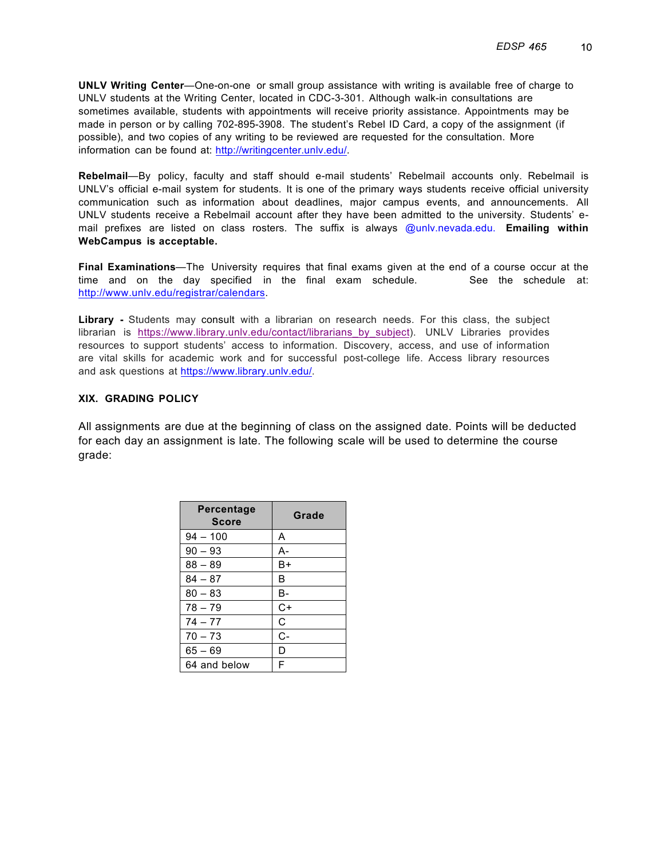**UNLV Writing Center**—One-on-one or small group assistance with writing is available free of charge to UNLV students at the Writing Center, located in CDC-3-301. Although walk-in consultations are sometimes available, students with appointments will receive priority assistance. Appointments may be made in person or by calling 702-895-3908. The student's Rebel ID Card, a copy of the assignment (if possible), and two copies of any writing to be reviewed are requested for the consultation. More information can be found at: http://writingcenter.unlv.edu/.

**Rebelmail**—By policy, faculty and staff should e-mail students' Rebelmail accounts only. Rebelmail is UNLV's official e-mail system for students. It is one of the primary ways students receive official university communication such as information about deadlines, major campus events, and announcements. All UNLV students receive a Rebelmail account after they have been admitted to the university. Students' email prefixes are listed on class rosters. The suffix is always @unlv.nevada.edu. **Emailing within WebCampus is acceptable.**

**Final Examinations**—The University requires that final exams given at the end of a course occur at the time and on the day specified in the final exam schedule. See the schedule at: http://www.unlv.edu/registrar/calendars.

**Library -** Students may consult with a librarian on research needs. For this class, the subject librarian is https://www.library.unlv.edu/contact/librarians\_by\_subject). UNLV Libraries provides resources to support students' access to information. Discovery, access, and use of information are vital skills for academic work and for successful post-college life. Access library resources and ask questions at https://www.library.unlv.edu/.

#### **XIX. GRADING POLICY**

All assignments are due at the beginning of class on the assigned date. Points will be deducted for each day an assignment is late. The following scale will be used to determine the course grade:

| Percentage<br><b>Score</b> | Grade |
|----------------------------|-------|
| $94 - 100$                 | A     |
| $90 - 93$                  | А-    |
| $88 - 89$                  | B+    |
| $84 - 87$                  | в     |
| $80 - 83$                  | в-    |
| $78 - 79$                  | $C+$  |
| $74 - 77$                  | С     |
| $70 - 73$                  | $C -$ |
| $65 - 69$                  | D     |
| 64 and below               | F     |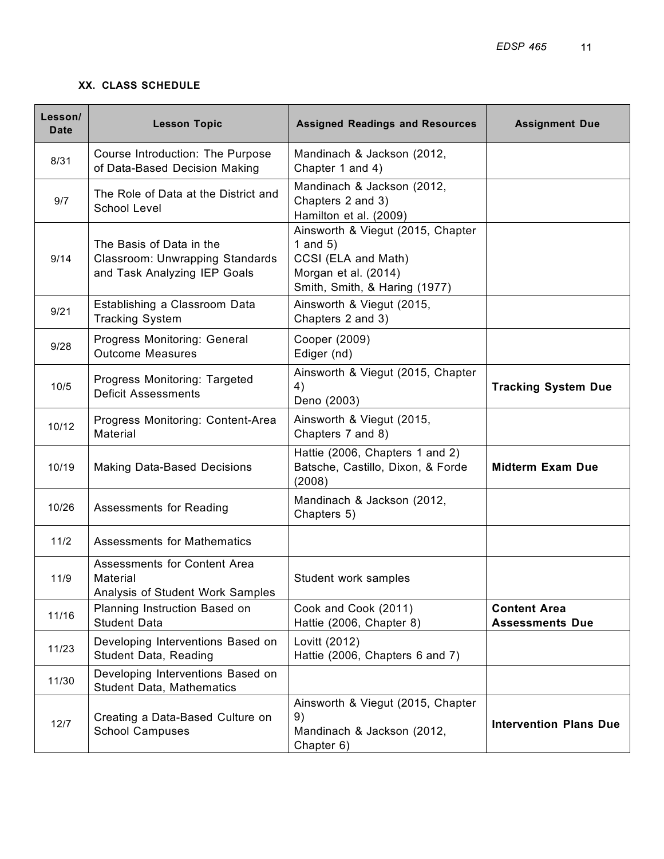## **XX. CLASS SCHEDULE**

| Lesson/<br>Date | <b>Lesson Topic</b>                                                                         | <b>Assigned Readings and Resources</b>                                                                                          | <b>Assignment Due</b>                         |
|-----------------|---------------------------------------------------------------------------------------------|---------------------------------------------------------------------------------------------------------------------------------|-----------------------------------------------|
| 8/31            | Course Introduction: The Purpose<br>of Data-Based Decision Making                           | Mandinach & Jackson (2012,<br>Chapter 1 and 4)                                                                                  |                                               |
| 9/7             | The Role of Data at the District and<br>School Level                                        | Mandinach & Jackson (2012,<br>Chapters 2 and 3)<br>Hamilton et al. (2009)                                                       |                                               |
| 9/14            | The Basis of Data in the<br>Classroom: Unwrapping Standards<br>and Task Analyzing IEP Goals | Ainsworth & Viegut (2015, Chapter<br>1 and $5)$<br>CCSI (ELA and Math)<br>Morgan et al. (2014)<br>Smith, Smith, & Haring (1977) |                                               |
| 9/21            | Establishing a Classroom Data<br><b>Tracking System</b>                                     | Ainsworth & Viegut (2015,<br>Chapters 2 and 3)                                                                                  |                                               |
| 9/28            | Progress Monitoring: General<br><b>Outcome Measures</b>                                     | Cooper (2009)<br>Ediger (nd)                                                                                                    |                                               |
| 10/5            | Progress Monitoring: Targeted<br><b>Deficit Assessments</b>                                 | Ainsworth & Viegut (2015, Chapter<br>4)<br>Deno (2003)                                                                          | <b>Tracking System Due</b>                    |
| 10/12           | Progress Monitoring: Content-Area<br>Material                                               | Ainsworth & Viegut (2015,<br>Chapters 7 and 8)                                                                                  |                                               |
| 10/19           | <b>Making Data-Based Decisions</b>                                                          | Hattie (2006, Chapters 1 and 2)<br>Batsche, Castillo, Dixon, & Forde<br>(2008)                                                  | <b>Midterm Exam Due</b>                       |
| 10/26           | Assessments for Reading                                                                     | Mandinach & Jackson (2012,<br>Chapters 5)                                                                                       |                                               |
| 11/2            | <b>Assessments for Mathematics</b>                                                          |                                                                                                                                 |                                               |
| 11/9            | Assessments for Content Area<br>Material<br>Analysis of Student Work Samples                | Student work samples                                                                                                            |                                               |
| 11/16           | Planning Instruction Based on<br><b>Student Data</b>                                        | Cook and Cook (2011)<br>Hattie (2006, Chapter 8)                                                                                | <b>Content Area</b><br><b>Assessments Due</b> |
| 11/23           | Developing Interventions Based on<br><b>Student Data, Reading</b>                           | Lovitt (2012)<br>Hattie (2006, Chapters 6 and 7)                                                                                |                                               |
| 11/30           | Developing Interventions Based on<br><b>Student Data, Mathematics</b>                       |                                                                                                                                 |                                               |
| 12/7            | Creating a Data-Based Culture on<br><b>School Campuses</b>                                  | Ainsworth & Viegut (2015, Chapter<br>9)<br>Mandinach & Jackson (2012,<br>Chapter 6)                                             | <b>Intervention Plans Due</b>                 |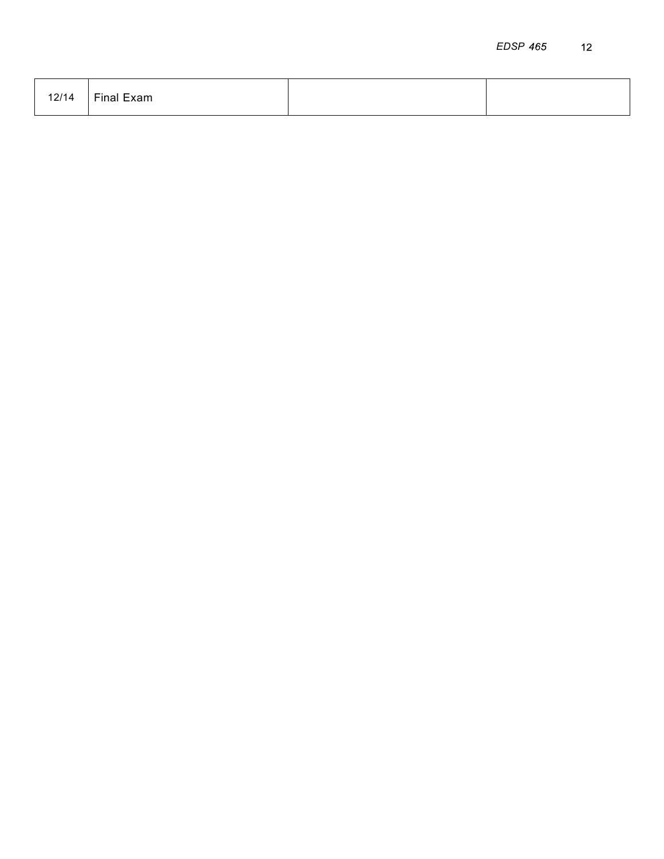| 12/14 | Final Exam |  |
|-------|------------|--|
|       |            |  |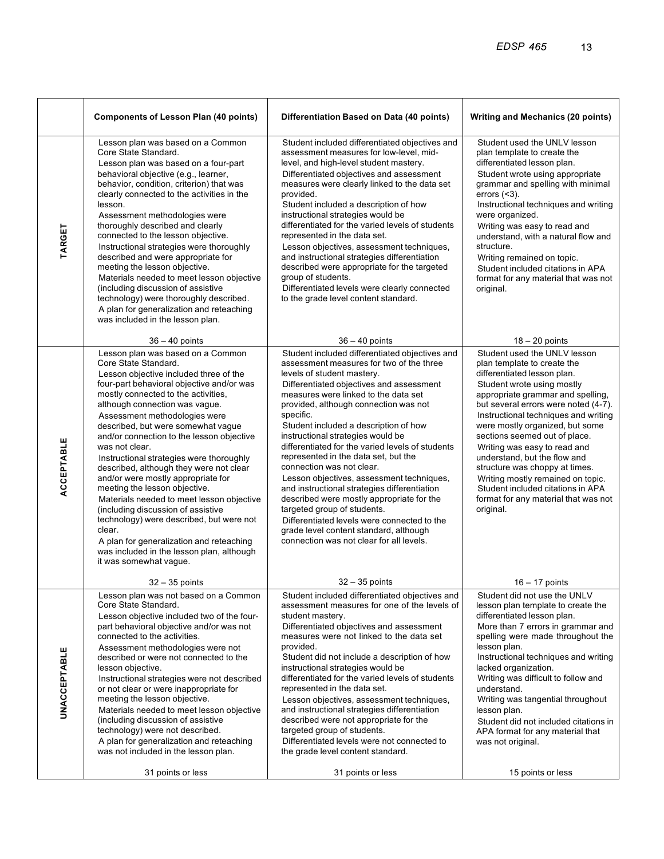|                     | <b>Components of Lesson Plan (40 points)</b>                                                                                                                                                                                                                                                                                                                                                                                                                                                                                                                                                                                                                                                                                                                                              | Differentiation Based on Data (40 points)                                                                                                                                                                                                                                                                                                                                                                                                                                                                                                                                                                                                                                                                                                                                               | <b>Writing and Mechanics (20 points)</b>                                                                                                                                                                                                                                                                                                                                                                                                                                                                                                           |
|---------------------|-------------------------------------------------------------------------------------------------------------------------------------------------------------------------------------------------------------------------------------------------------------------------------------------------------------------------------------------------------------------------------------------------------------------------------------------------------------------------------------------------------------------------------------------------------------------------------------------------------------------------------------------------------------------------------------------------------------------------------------------------------------------------------------------|-----------------------------------------------------------------------------------------------------------------------------------------------------------------------------------------------------------------------------------------------------------------------------------------------------------------------------------------------------------------------------------------------------------------------------------------------------------------------------------------------------------------------------------------------------------------------------------------------------------------------------------------------------------------------------------------------------------------------------------------------------------------------------------------|----------------------------------------------------------------------------------------------------------------------------------------------------------------------------------------------------------------------------------------------------------------------------------------------------------------------------------------------------------------------------------------------------------------------------------------------------------------------------------------------------------------------------------------------------|
| TARGET              | Lesson plan was based on a Common<br>Core State Standard.<br>Lesson plan was based on a four-part<br>behavioral objective (e.g., learner,<br>behavior, condition, criterion) that was<br>clearly connected to the activities in the<br>lesson.<br>Assessment methodologies were<br>thoroughly described and clearly<br>connected to the lesson objective.<br>Instructional strategies were thoroughly<br>described and were appropriate for<br>meeting the lesson objective.<br>Materials needed to meet lesson objective<br>(including discussion of assistive<br>technology) were thoroughly described.<br>A plan for generalization and reteaching<br>was included in the lesson plan.                                                                                                 | Student included differentiated objectives and<br>assessment measures for low-level, mid-<br>level, and high-level student mastery.<br>Differentiated objectives and assessment<br>measures were clearly linked to the data set<br>provided.<br>Student included a description of how<br>instructional strategies would be<br>differentiated for the varied levels of students<br>represented in the data set.<br>Lesson objectives, assessment techniques,<br>and instructional strategies differentiation<br>described were appropriate for the targeted<br>group of students.<br>Differentiated levels were clearly connected<br>to the grade level content standard.                                                                                                                | Student used the UNLV lesson<br>plan template to create the<br>differentiated lesson plan.<br>Student wrote using appropriate<br>grammar and spelling with minimal<br>errors $($ $3$ ).<br>Instructional techniques and writing<br>were organized.<br>Writing was easy to read and<br>understand, with a natural flow and<br>structure.<br>Writing remained on topic.<br>Student included citations in APA<br>format for any material that was not<br>original.                                                                                    |
|                     | $36 - 40$ points                                                                                                                                                                                                                                                                                                                                                                                                                                                                                                                                                                                                                                                                                                                                                                          | $36 - 40$ points                                                                                                                                                                                                                                                                                                                                                                                                                                                                                                                                                                                                                                                                                                                                                                        | $18 - 20$ points                                                                                                                                                                                                                                                                                                                                                                                                                                                                                                                                   |
| ACCEPTABLE          | Lesson plan was based on a Common<br>Core State Standard.<br>Lesson objective included three of the<br>four-part behavioral objective and/or was<br>mostly connected to the activities,<br>although connection was vague.<br>Assessment methodologies were<br>described, but were somewhat vague<br>and/or connection to the lesson objective<br>was not clear.<br>Instructional strategies were thoroughly<br>described, although they were not clear<br>and/or were mostly appropriate for<br>meeting the lesson objective.<br>Materials needed to meet lesson objective<br>(including discussion of assistive<br>technology) were described, but were not<br>clear.<br>A plan for generalization and reteaching<br>was included in the lesson plan, although<br>it was somewhat vague. | Student included differentiated objectives and<br>assessment measures for two of the three<br>levels of student mastery.<br>Differentiated objectives and assessment<br>measures were linked to the data set<br>provided, although connection was not<br>specific.<br>Student included a description of how<br>instructional strategies would be<br>differentiated for the varied levels of students<br>represented in the data set, but the<br>connection was not clear.<br>Lesson objectives, assessment techniques,<br>and instructional strategies differentiation<br>described were mostly appropriate for the<br>targeted group of students.<br>Differentiated levels were connected to the<br>grade level content standard, although<br>connection was not clear for all levels. | Student used the UNLV lesson<br>plan template to create the<br>differentiated lesson plan.<br>Student wrote using mostly<br>appropriate grammar and spelling,<br>but several errors were noted (4-7).<br>Instructional techniques and writing<br>were mostly organized, but some<br>sections seemed out of place.<br>Writing was easy to read and<br>understand, but the flow and<br>structure was choppy at times.<br>Writing mostly remained on topic.<br>Student included citations in APA<br>format for any material that was not<br>original. |
|                     | $32 - 35$ points                                                                                                                                                                                                                                                                                                                                                                                                                                                                                                                                                                                                                                                                                                                                                                          | $32 - 35$ points                                                                                                                                                                                                                                                                                                                                                                                                                                                                                                                                                                                                                                                                                                                                                                        | $16 - 17$ points                                                                                                                                                                                                                                                                                                                                                                                                                                                                                                                                   |
| <b>UNACCEPTABLE</b> | Lesson plan was not based on a Common<br>Core State Standard.<br>Lesson objective included two of the four-<br>part behavioral objective and/or was not<br>connected to the activities.<br>Assessment methodologies were not<br>described or were not connected to the<br>lesson objective.<br>Instructional strategies were not described<br>or not clear or were inappropriate for<br>meeting the lesson objective.<br>Materials needed to meet lesson objective<br>(including discussion of assistive<br>technology) were not described.<br>A plan for generalization and reteaching<br>was not included in the lesson plan.                                                                                                                                                           | Student included differentiated objectives and<br>assessment measures for one of the levels of<br>student mastery.<br>Differentiated objectives and assessment<br>measures were not linked to the data set<br>provided.<br>Student did not include a description of how<br>instructional strategies would be<br>differentiated for the varied levels of students<br>represented in the data set.<br>Lesson objectives, assessment techniques,<br>and instructional strategies differentiation<br>described were not appropriate for the<br>targeted group of students.<br>Differentiated levels were not connected to<br>the grade level content standard.                                                                                                                              | Student did not use the UNLV<br>lesson plan template to create the<br>differentiated lesson plan.<br>More than 7 errors in grammar and<br>spelling were made throughout the<br>lesson plan.<br>Instructional techniques and writing<br>lacked organization.<br>Writing was difficult to follow and<br>understand.<br>Writing was tangential throughout<br>lesson plan.<br>Student did not included citations in<br>APA format for any material that<br>was not original.                                                                           |
|                     | 31 points or less                                                                                                                                                                                                                                                                                                                                                                                                                                                                                                                                                                                                                                                                                                                                                                         | 31 points or less                                                                                                                                                                                                                                                                                                                                                                                                                                                                                                                                                                                                                                                                                                                                                                       | 15 points or less                                                                                                                                                                                                                                                                                                                                                                                                                                                                                                                                  |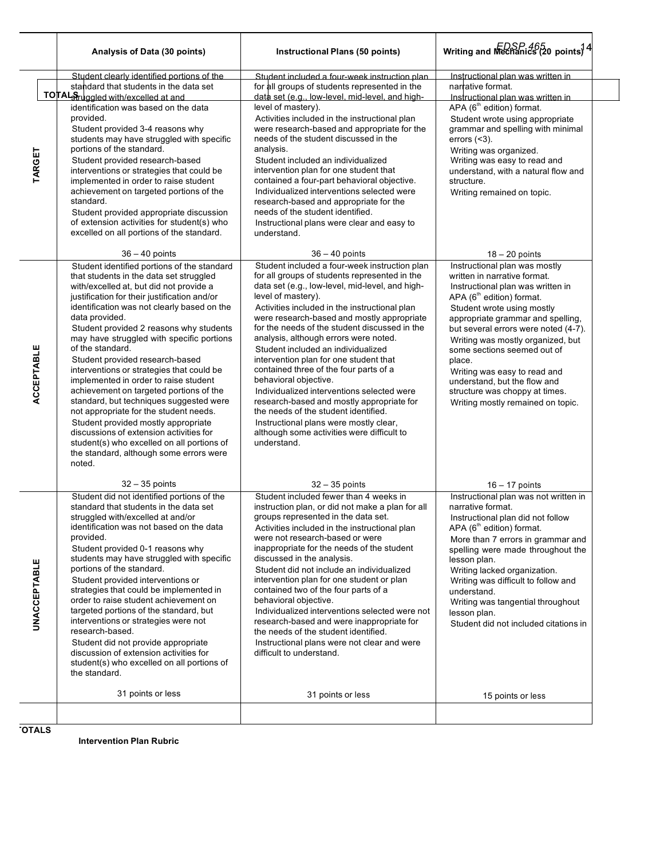|                     | Analysis of Data (30 points)                                                                                                                                                                                                                                                                                                                                                                                                                                                                                                                                                                                                                                                                                                                                                                                 | Instructional Plans (50 points)                                                                                                                                                                                                                                                                                                                                                                                                                                                                                                                                                                                                                                                                                                                               | Writing and Mechanics (20 points) $4$                                                                                                                                                                                                                                                                                                                                                                                                                                       |
|---------------------|--------------------------------------------------------------------------------------------------------------------------------------------------------------------------------------------------------------------------------------------------------------------------------------------------------------------------------------------------------------------------------------------------------------------------------------------------------------------------------------------------------------------------------------------------------------------------------------------------------------------------------------------------------------------------------------------------------------------------------------------------------------------------------------------------------------|---------------------------------------------------------------------------------------------------------------------------------------------------------------------------------------------------------------------------------------------------------------------------------------------------------------------------------------------------------------------------------------------------------------------------------------------------------------------------------------------------------------------------------------------------------------------------------------------------------------------------------------------------------------------------------------------------------------------------------------------------------------|-----------------------------------------------------------------------------------------------------------------------------------------------------------------------------------------------------------------------------------------------------------------------------------------------------------------------------------------------------------------------------------------------------------------------------------------------------------------------------|
| TARGET              | Student clearly identified portions of the<br>standard that students in the data set<br>TOTALSruggled with/excelled at and<br>identification was based on the data<br>provided.<br>Student provided 3-4 reasons why<br>students may have struggled with specific<br>portions of the standard.<br>Student provided research-based<br>interventions or strategies that could be<br>implemented in order to raise student<br>achievement on targeted portions of the<br>standard.<br>Student provided appropriate discussion<br>of extension activities for student(s) who<br>excelled on all portions of the standard.<br>$36 - 40$ points                                                                                                                                                                     | Student included a four-week instruction plan.<br>for all groups of students represented in the<br>data set (e.g., low-level, mid-level, and high-<br>level of mastery).<br>Activities included in the instructional plan<br>were research-based and appropriate for the<br>needs of the student discussed in the<br>analysis.<br>Student included an individualized<br>intervention plan for one student that<br>contained a four-part behavioral objective.<br>Individualized interventions selected were<br>research-based and appropriate for the<br>needs of the student identified.<br>Instructional plans were clear and easy to<br>understand.<br>$36 - 40$ points                                                                                    | Instructional plan was written in<br>narrative format.<br><u>Instructional plan was written in </u><br>APA (6 <sup>th</sup> edition) format.<br>Student wrote using appropriate<br>grammar and spelling with minimal<br>errors $(3).$<br>Writing was organized.<br>Writing was easy to read and<br>understand, with a natural flow and<br>structure.<br>Writing remained on topic.<br>$18 - 20$ points                                                                      |
| <b>ACCEPTABLE</b>   | Student identified portions of the standard<br>that students in the data set struggled<br>with/excelled at, but did not provide a<br>justification for their justification and/or<br>identification was not clearly based on the<br>data provided.<br>Student provided 2 reasons why students<br>may have struggled with specific portions<br>of the standard.<br>Student provided research-based<br>interventions or strategies that could be<br>implemented in order to raise student<br>achievement on targeted portions of the<br>standard, but techniques suggested were<br>not appropriate for the student needs.<br>Student provided mostly appropriate<br>discussions of extension activities for<br>student(s) who excelled on all portions of<br>the standard, although some errors were<br>noted. | Student included a four-week instruction plan<br>for all groups of students represented in the<br>data set (e.g., low-level, mid-level, and high-<br>level of mastery).<br>Activities included in the instructional plan<br>were research-based and mostly appropriate<br>for the needs of the student discussed in the<br>analysis, although errors were noted.<br>Student included an individualized<br>intervention plan for one student that<br>contained three of the four parts of a<br>behavioral objective.<br>Individualized interventions selected were<br>research-based and mostly appropriate for<br>the needs of the student identified.<br>Instructional plans were mostly clear,<br>although some activities were difficult to<br>understand. | Instructional plan was mostly<br>written in narrative format.<br>Instructional plan was written in<br>APA (6 <sup>th</sup> edition) format.<br>Student wrote using mostly<br>appropriate grammar and spelling,<br>but several errors were noted (4-7).<br>Writing was mostly organized, but<br>some sections seemed out of<br>place.<br>Writing was easy to read and<br>understand, but the flow and<br>structure was choppy at times.<br>Writing mostly remained on topic. |
| <b>UNACCEPTABLE</b> | $32 - 35$ points<br>Student did not identified portions of the<br>standard that students in the data set<br>struggled with/excelled at and/or<br>identification was not based on the data<br>provided.<br>Student provided 0-1 reasons why<br>students may have struggled with specific<br>portions of the standard.<br>Student provided interventions or<br>strategies that could be implemented in<br>order to raise student achievement on<br>targeted portions of the standard, but<br>interventions or strategies were not<br>research-based.<br>Student did not provide appropriate<br>discussion of extension activities for<br>student(s) who excelled on all portions of<br>the standard.<br>31 points or less                                                                                      | $32 - 35$ points<br>Student included fewer than 4 weeks in<br>instruction plan, or did not make a plan for all<br>groups represented in the data set.<br>Activities included in the instructional plan<br>were not research-based or were<br>inappropriate for the needs of the student<br>discussed in the analysis.<br>Student did not include an individualized<br>intervention plan for one student or plan<br>contained two of the four parts of a<br>behavioral objective.<br>Individualized interventions selected were not<br>research-based and were inappropriate for<br>the needs of the student identified.<br>Instructional plans were not clear and were<br>difficult to understand.<br>31 points or less                                       | $16 - 17$ points<br>Instructional plan was not written in<br>narrative format.<br>Instructional plan did not follow<br>APA (6 <sup>th</sup> edition) format.<br>More than 7 errors in grammar and<br>spelling were made throughout the<br>lesson plan.<br>Writing lacked organization.<br>Writing was difficult to follow and<br>understand.<br>Writing was tangential throughout<br>lesson plan.<br>Student did not included citations in<br>15 points or less             |
|                     |                                                                                                                                                                                                                                                                                                                                                                                                                                                                                                                                                                                                                                                                                                                                                                                                              |                                                                                                                                                                                                                                                                                                                                                                                                                                                                                                                                                                                                                                                                                                                                                               |                                                                                                                                                                                                                                                                                                                                                                                                                                                                             |

**TOTALS**

 $\overline{a}$ 

 $\overline{\phantom{a}}$ 

**Intervention Plan Rubric**